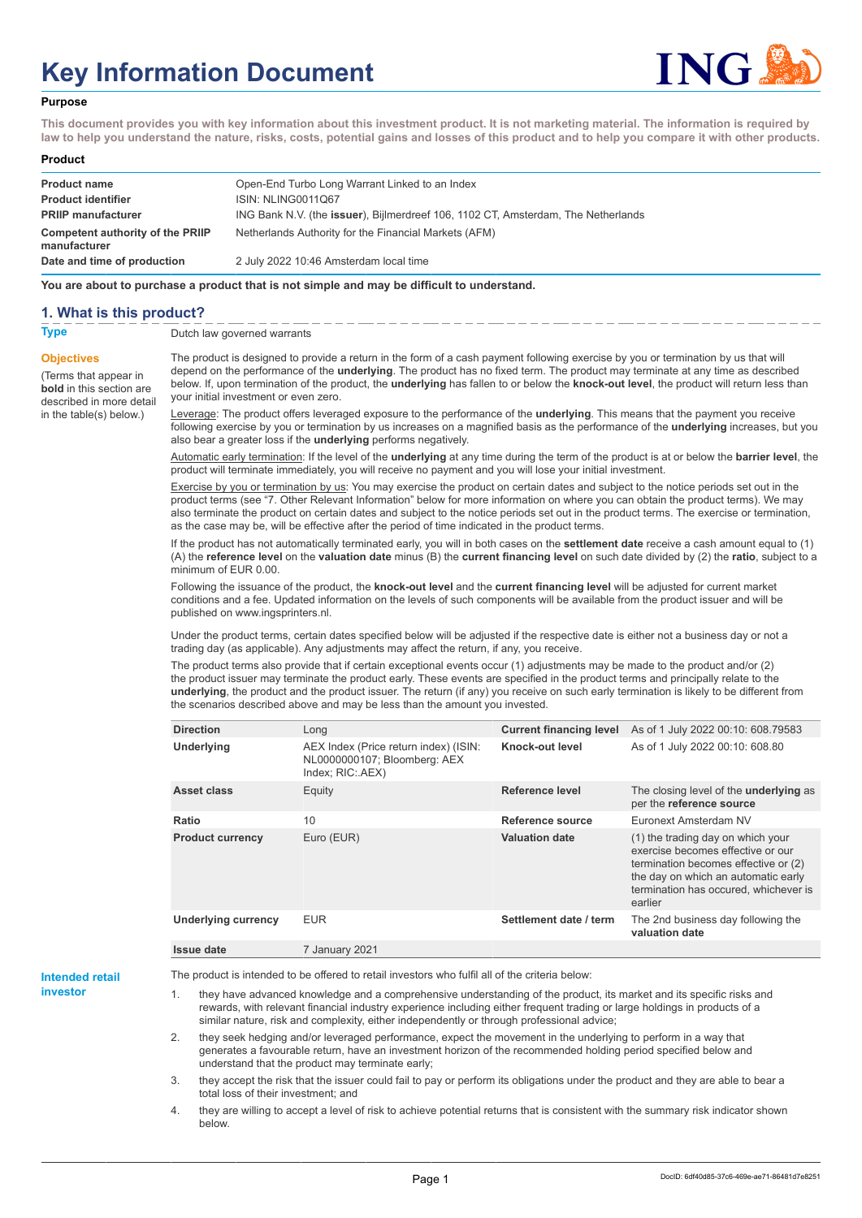# **Key Information Document**



#### **Purpose**

**This document provides you with key information about this investment product. It is not marketing material. The information is required by law to help you understand the nature, risks, costs, potential gains and losses of this product and to help you compare it with other products.**

#### **Product**

| <b>Product name</b><br><b>Product identifier</b>                              | Open-End Turbo Long Warrant Linked to an Index<br><b>ISIN: NLING0011Q67</b>                                                                        |
|-------------------------------------------------------------------------------|----------------------------------------------------------------------------------------------------------------------------------------------------|
| <b>PRIIP manufacturer</b><br>Competent authority of the PRIIP<br>manufacturer | ING Bank N.V. (the <b>issuer</b> ), Bijlmerdreef 106, 1102 CT, Amsterdam, The Netherlands<br>Netherlands Authority for the Financial Markets (AFM) |
| Date and time of production                                                   | 2 July 2022 10:46 Amsterdam local time                                                                                                             |

**You are about to purchase a product that is not simple and may be difficult to understand.**

### **1. What is this product?**

**Objectives**

(Terms that appear in **bold** in this section are

in the table(s) below.)

**Type** Dutch law governed warrants

described in more detail The product is designed to provide a return in the form of a cash payment following exercise by you or termination by us that will depend on the performance of the **underlying**. The product has no fixed term. The product may terminate at any time as described below. If, upon termination of the product, the **underlying** has fallen to or below the **knock-out level**, the product will return less than your initial investment or even zero.

> Leverage: The product offers leveraged exposure to the performance of the **underlying**. This means that the payment you receive following exercise by you or termination by us increases on a magnified basis as the performance of the **underlying** increases, but you also bear a greater loss if the **underlying** performs negatively.

> Automatic early termination: If the level of the **underlying** at any time during the term of the product is at or below the **barrier level**, the product will terminate immediately, you will receive no payment and you will lose your initial investment.

Exercise by you or termination by us: You may exercise the product on certain dates and subject to the notice periods set out in the product terms (see "7. Other Relevant Information" below for more information on where you can obtain the product terms). We may also terminate the product on certain dates and subject to the notice periods set out in the product terms. The exercise or termination, as the case may be, will be effective after the period of time indicated in the product terms.

If the product has not automatically terminated early, you will in both cases on the **settlement date** receive a cash amount equal to (1) (A) the **reference level** on the **valuation date** minus (B) the **current financing level** on such date divided by (2) the **ratio**, subject to a minimum of EUR 0.00.

Following the issuance of the product, the **knock-out level** and the **current financing level** will be adjusted for current market conditions and a fee. Updated information on the levels of such components will be available from the product issuer and will be published on www.ingsprinters.nl.

Under the product terms, certain dates specified below will be adjusted if the respective date is either not a business day or not a trading day (as applicable). Any adjustments may affect the return, if any, you receive.

The product terms also provide that if certain exceptional events occur (1) adjustments may be made to the product and/or (2) the product issuer may terminate the product early. These events are specified in the product terms and principally relate to the **underlying**, the product and the product issuer. The return (if any) you receive on such early termination is likely to be different from the scenarios described above and may be less than the amount you invested.

| <b>Direction</b>           | Long                                                                                      | <b>Current financing level</b> | As of 1 July 2022 00:10: 608.79583                                                                                                                                                                        |
|----------------------------|-------------------------------------------------------------------------------------------|--------------------------------|-----------------------------------------------------------------------------------------------------------------------------------------------------------------------------------------------------------|
| <b>Underlying</b>          | AEX Index (Price return index) (ISIN:<br>NL0000000107; Bloomberg: AEX<br>Index; RIC: AEX) | Knock-out level                | As of 1 July 2022 00:10: 608.80                                                                                                                                                                           |
| Asset class                | Equity                                                                                    | Reference level                | The closing level of the <b>underlying</b> as<br>per the reference source                                                                                                                                 |
| Ratio                      | 10                                                                                        | Reference source               | Euronext Amsterdam NV                                                                                                                                                                                     |
| <b>Product currency</b>    | Euro (EUR)                                                                                | <b>Valuation date</b>          | (1) the trading day on which your<br>exercise becomes effective or our<br>termination becomes effective or (2)<br>the day on which an automatic early<br>termination has occured, whichever is<br>earlier |
| <b>Underlying currency</b> | <b>EUR</b>                                                                                | Settlement date / term         | The 2nd business day following the<br>valuation date                                                                                                                                                      |
| Issue date                 | 7 January 2021                                                                            |                                |                                                                                                                                                                                                           |

**Intended retail investor**

The product is intended to be offered to retail investors who fulfil all of the criteria below:

they have advanced knowledge and a comprehensive understanding of the product, its market and its specific risks and rewards, with relevant financial industry experience including either frequent trading or large holdings in products of a similar nature, risk and complexity, either independently or through professional advice;

2. they seek hedging and/or leveraged performance, expect the movement in the underlying to perform in a way that generates a favourable return, have an investment horizon of the recommended holding period specified below and understand that the product may terminate early;

3. they accept the risk that the issuer could fail to pay or perform its obligations under the product and they are able to bear a total loss of their investment; and

4. they are willing to accept a level of risk to achieve potential returns that is consistent with the summary risk indicator shown below.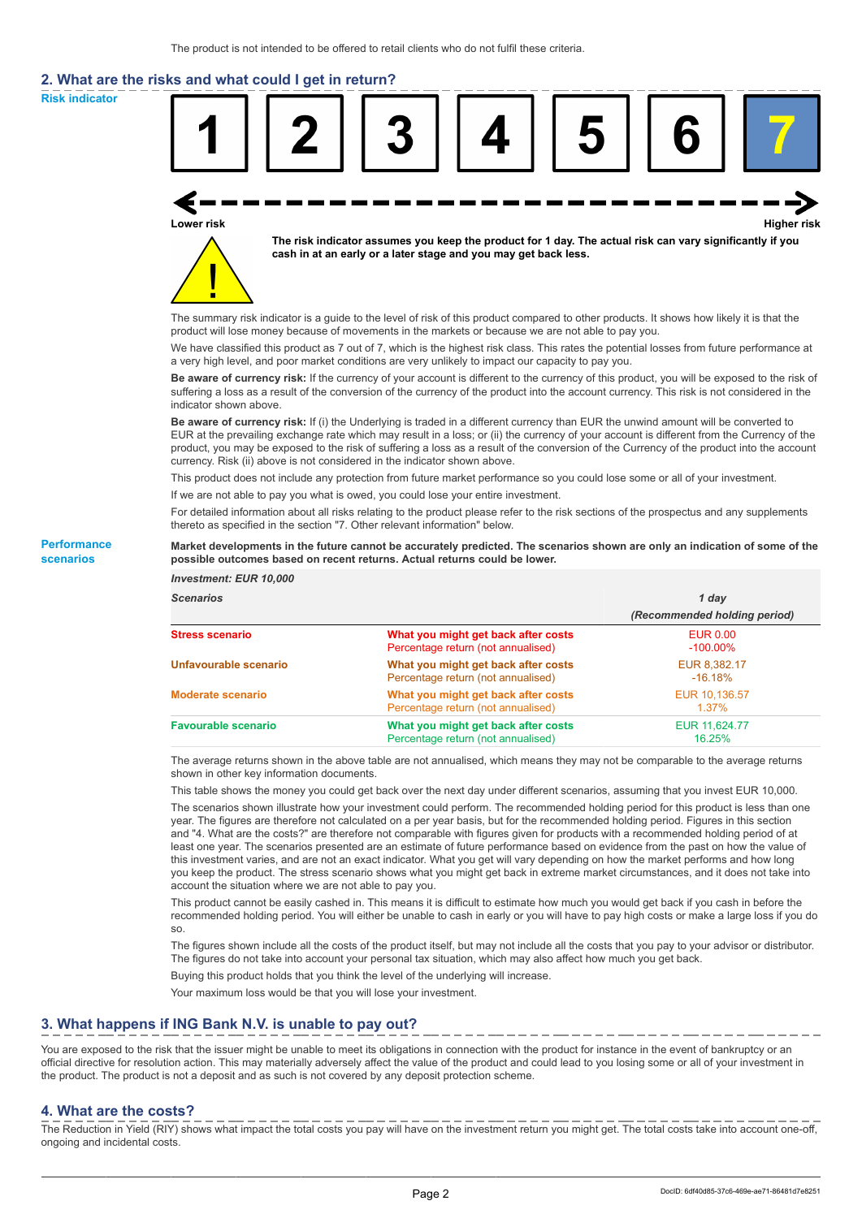# **2. What are the risks and what could I get in return?**

**Risk indicator**

**Performance scenarios**



thereto as specified in the section "7. Other relevant information" below.

#### **Market developments in the future cannot be accurately predicted. The scenarios shown are only an indication of some of the possible outcomes based on recent returns. Actual returns could be lower.**

| <b>Investment: EUR 10,000</b> |                                                                           |                                |
|-------------------------------|---------------------------------------------------------------------------|--------------------------------|
| <b>Scenarios</b>              |                                                                           | 1 day                          |
|                               |                                                                           | (Recommended holding period)   |
| <b>Stress scenario</b>        | What you might get back after costs<br>Percentage return (not annualised) | <b>EUR 0.00</b><br>$-100.00\%$ |
| Unfavourable scenario         | What you might get back after costs<br>Percentage return (not annualised) | EUR 8,382.17<br>$-16.18%$      |
| <b>Moderate scenario</b>      | What you might get back after costs<br>Percentage return (not annualised) | EUR 10.136.57<br>$1.37\%$      |
| <b>Favourable scenario</b>    | What you might get back after costs<br>Percentage return (not annualised) | EUR 11.624.77<br>16.25%        |

The average returns shown in the above table are not annualised, which means they may not be comparable to the average returns shown in other key information documents.

This table shows the money you could get back over the next day under different scenarios, assuming that you invest EUR 10,000.

The scenarios shown illustrate how your investment could perform. The recommended holding period for this product is less than one year. The figures are therefore not calculated on a per year basis, but for the recommended holding period. Figures in this section and "4. What are the costs?" are therefore not comparable with figures given for products with a recommended holding period of at least one year. The scenarios presented are an estimate of future performance based on evidence from the past on how the value of this investment varies, and are not an exact indicator. What you get will vary depending on how the market performs and how long you keep the product. The stress scenario shows what you might get back in extreme market circumstances, and it does not take into account the situation where we are not able to pay you.

This product cannot be easily cashed in. This means it is difficult to estimate how much you would get back if you cash in before the recommended holding period. You will either be unable to cash in early or you will have to pay high costs or make a large loss if you do so.

The figures shown include all the costs of the product itself, but may not include all the costs that you pay to your advisor or distributor. The figures do not take into account your personal tax situation, which may also affect how much you get back.

Buying this product holds that you think the level of the underlying will increase.

Your maximum loss would be that you will lose your investment.

## **3. What happens if ING Bank N.V. is unable to pay out?**

You are exposed to the risk that the issuer might be unable to meet its obligations in connection with the product for instance in the event of bankruptcy or an official directive for resolution action. This may materially adversely affect the value of the product and could lead to you losing some or all of your investment in the product. The product is not a deposit and as such is not covered by any deposit protection scheme.

### **4. What are the costs?**

The Reduction in Yield (RIY) shows what impact the total costs you pay will have on the investment return you might get. The total costs take into account one-off, ongoing and incidental costs.

DocID: 6df40d85-37c6-469e-ae71-86481d7e8251